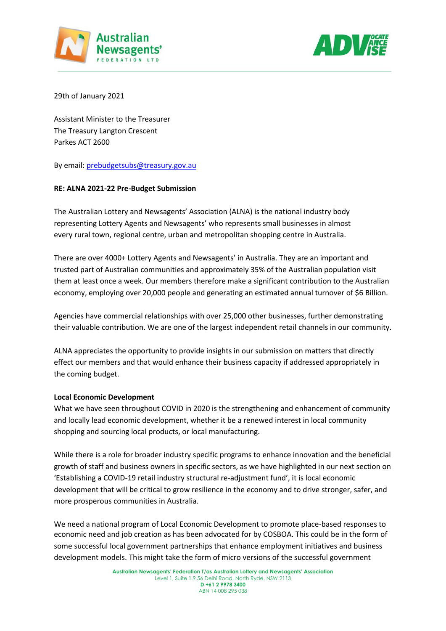



29th of January 2021

Assistant Minister to the Treasurer The Treasury Langton Crescent Parkes ACT 2600

By email: [prebudgetsubs@treasury.gov.au](mailto:prebudgetsubs@treasury.gov.au)

## **RE: ALNA 2021-22 Pre-Budget Submission**

The Australian Lottery and Newsagents' Association (ALNA) is the national industry body representing Lottery Agents and Newsagents' who represents small businesses in almost every rural town, regional centre, urban and metropolitan shopping centre in Australia.

There are over 4000+ Lottery Agents and Newsagents' in Australia. They are an important and trusted part of Australian communities and approximately 35% of the Australian population visit them at least once a week. Our members therefore make a significant contribution to the Australian economy, employing over 20,000 people and generating an estimated annual turnover of \$6 Billion.

Agencies have commercial relationships with over 25,000 other businesses, further demonstrating their valuable contribution. We are one of the largest independent retail channels in our community.

ALNA appreciates the opportunity to provide insights in our submission on matters that directly effect our members and that would enhance their business capacity if addressed appropriately in the coming budget.

### **Local Economic Development**

What we have seen throughout COVID in 2020 is the strengthening and enhancement of community and locally lead economic development, whether it be a renewed interest in local community shopping and sourcing local products, or local manufacturing.

While there is a role for broader industry specific programs to enhance innovation and the beneficial growth of staff and business owners in specific sectors, as we have highlighted in our next section on 'Establishing a COVID-19 retail industry structural re-adjustment fund', it is local economic development that will be critical to grow resilience in the economy and to drive stronger, safer, and more prosperous communities in Australia.

We need a national program of Local Economic Development to promote place-based responses to economic need and job creation as has been advocated for by COSBOA. This could be in the form of some successful local government partnerships that enhance employment initiatives and business development models. This might take the form of micro versions of the successful government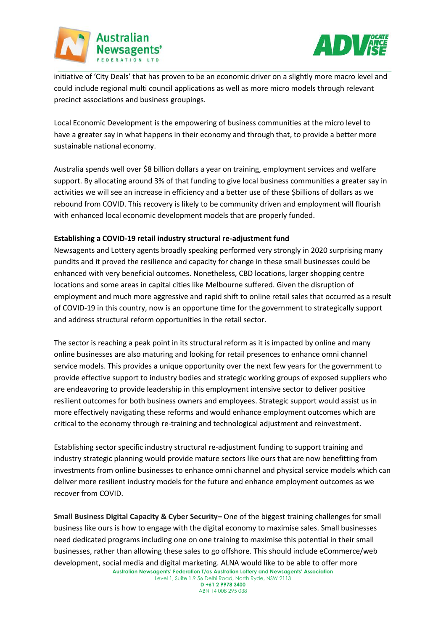



initiative of 'City Deals' that has proven to be an economic driver on a slightly more macro level and could include regional multi council applications as well as more micro models through relevant precinct associations and business groupings.

Local Economic Development is the empowering of business communities at the micro level to have a greater say in what happens in their economy and through that, to provide a better more sustainable national economy.

Australia spends well over \$8 billion dollars a year on training, employment services and welfare support. By allocating around 3% of that funding to give local business communities a greater say in activities we will see an increase in efficiency and a better use of these \$billions of dollars as we rebound from COVID. This recovery is likely to be community driven and employment will flourish with enhanced local economic development models that are properly funded.

## **Establishing a COVID-19 retail industry structural re-adjustment fund**

Newsagents and Lottery agents broadly speaking performed very strongly in 2020 surprising many pundits and it proved the resilience and capacity for change in these small businesses could be enhanced with very beneficial outcomes. Nonetheless, CBD locations, larger shopping centre locations and some areas in capital cities like Melbourne suffered. Given the disruption of employment and much more aggressive and rapid shift to online retail sales that occurred as a result of COVID-19 in this country, now is an opportune time for the government to strategically support and address structural reform opportunities in the retail sector.

The sector is reaching a peak point in its structural reform as it is impacted by online and many online businesses are also maturing and looking for retail presences to enhance omni channel service models. This provides a unique opportunity over the next few years for the government to provide effective support to industry bodies and strategic working groups of exposed suppliers who are endeavoring to provide leadership in this employment intensive sector to deliver positive resilient outcomes for both business owners and employees. Strategic support would assist us in more effectively navigating these reforms and would enhance employment outcomes which are critical to the economy through re-training and technological adjustment and reinvestment.

Establishing sector specific industry structural re-adjustment funding to support training and industry strategic planning would provide mature sectors like ours that are now benefitting from investments from online businesses to enhance omni channel and physical service models which can deliver more resilient industry models for the future and enhance employment outcomes as we recover from COVID.

**Australian Newsagents' Federation T/as Australian Lottery and Newsagents' Association Small Business Digital Capacity & Cyber Security–** One of the biggest training challenges for small business like ours is how to engage with the digital economy to maximise sales. Small businesses need dedicated programs including one on one training to maximise this potential in their small businesses, rather than allowing these sales to go offshore. This should include eCommerce/web development, social media and digital marketing. ALNA would like to be able to offer more

Level 1, Suite 1.9 56 Delhi Road, North Ryde, NSW 2113 **D +61 2 9978 3400** ABN 14 008 295 038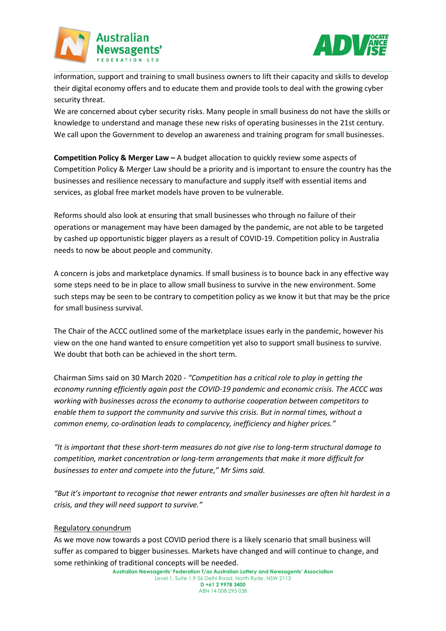



information, support and training to small business owners to lift their capacity and skills to develop their digital economy offers and to educate them and provide tools to deal with the growing cyber security threat.

We are concerned about cyber security risks. Many people in small business do not have the skills or knowledge to understand and manage these new risks of operating businesses in the 21st century. We call upon the Government to develop an awareness and training program for small businesses.

**Competition Policy & Merger Law –** A budget allocation to quickly review some aspects of Competition Policy & Merger Law should be a priority and is important to ensure the country has the businesses and resilience necessary to manufacture and supply itself with essential items and services, as global free market models have proven to be vulnerable.

Reforms should also look at ensuring that small businesses who through no failure of their operations or management may have been damaged by the pandemic, are not able to be targeted by cashed up opportunistic bigger players as a result of COVID-19. Competition policy in Australia needs to now be about people and community.

A concern is jobs and marketplace dynamics. If small business is to bounce back in any effective way some steps need to be in place to allow small business to survive in the new environment. Some such steps may be seen to be contrary to competition policy as we know it but that may be the price for small business survival.

The Chair of the ACCC outlined some of the marketplace issues early in the pandemic, however his view on the one hand wanted to ensure competition yet also to support small business to survive. We doubt that both can be achieved in the short term.

Chairman Sims said on 30 March 2020 - *"Competition has a critical role to play in getting the economy running efficiently again post the COVID-19 pandemic and economic crisis. The ACCC was working with businesses across the economy to authorise cooperation between competitors to enable them to support the community and survive this crisis. But in normal times, without a common enemy, co-ordination leads to complacency, inefficiency and higher prices."*

*"It is important that these short-term measures do not give rise to long-term structural damage to competition, market concentration or long-term arrangements that make it more difficult for businesses to enter and compete into the future," Mr Sims said.*

*"But it's important to recognise that newer entrants and smaller businesses are often hit hardest in a crisis, and they will need support to survive."*

### Regulatory conundrum

As we move now towards a post COVID period there is a likely scenario that small business will suffer as compared to bigger businesses. Markets have changed and will continue to change, and some rethinking of traditional concepts will be needed.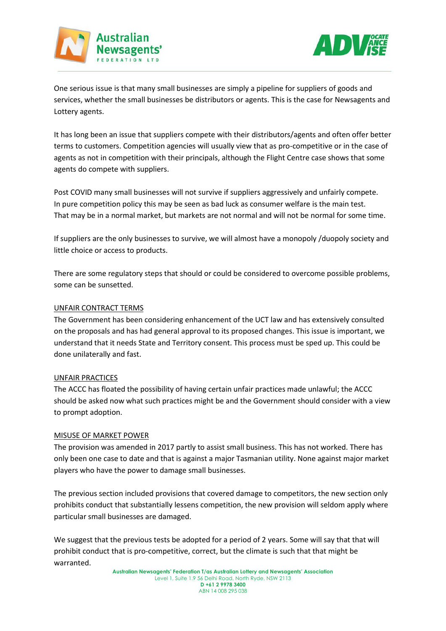



One serious issue is that many small businesses are simply a pipeline for suppliers of goods and services, whether the small businesses be distributors or agents. This is the case for Newsagents and Lottery agents.

It has long been an issue that suppliers compete with their distributors/agents and often offer better terms to customers. Competition agencies will usually view that as pro-competitive or in the case of agents as not in competition with their principals, although the Flight Centre case shows that some agents do compete with suppliers.

Post COVID many small businesses will not survive if suppliers aggressively and unfairly compete. In pure competition policy this may be seen as bad luck as consumer welfare is the main test. That may be in a normal market, but markets are not normal and will not be normal for some time.

If suppliers are the only businesses to survive, we will almost have a monopoly /duopoly society and little choice or access to products.

There are some regulatory steps that should or could be considered to overcome possible problems, some can be sunsetted.

### UNFAIR CONTRACT TERMS

The Government has been considering enhancement of the UCT law and has extensively consulted on the proposals and has had general approval to its proposed changes. This issue is important, we understand that it needs State and Territory consent. This process must be sped up. This could be done unilaterally and fast.

### UNFAIR PRACTICES

The ACCC has floated the possibility of having certain unfair practices made unlawful; the ACCC should be asked now what such practices might be and the Government should consider with a view to prompt adoption.

### MISUSE OF MARKET POWER

The provision was amended in 2017 partly to assist small business. This has not worked. There has only been one case to date and that is against a major Tasmanian utility. None against major market players who have the power to damage small businesses.

The previous section included provisions that covered damage to competitors, the new section only prohibits conduct that substantially lessens competition, the new provision will seldom apply where particular small businesses are damaged.

We suggest that the previous tests be adopted for a period of 2 years. Some will say that that will prohibit conduct that is pro-competitive, correct, but the climate is such that that might be warranted.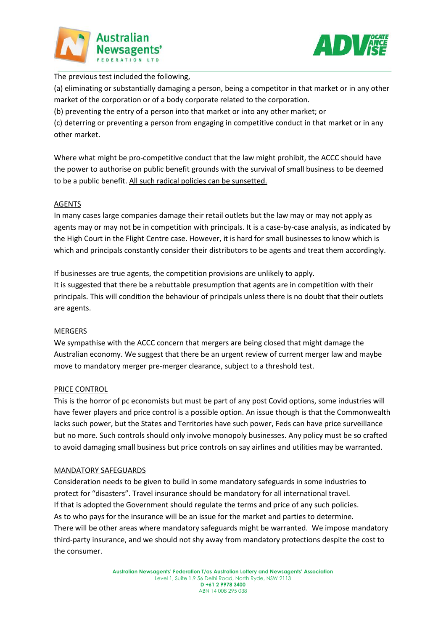



The previous test included the following,

(a) eliminating or substantially damaging a person, being a competitor in that market or in any other market of the corporation or of a body corporate related to the corporation.

(b) preventing the entry of a person into that market or into any other market; or

(c) deterring or preventing a person from engaging in competitive conduct in that market or in any other market.

Where what might be pro-competitive conduct that the law might prohibit, the ACCC should have the power to authorise on public benefit grounds with the survival of small business to be deemed to be a public benefit. All such radical policies can be sunsetted.

# AGENTS

In many cases large companies damage their retail outlets but the law may or may not apply as agents may or may not be in competition with principals. It is a case-by-case analysis, as indicated by the High Court in the Flight Centre case. However, it is hard for small businesses to know which is which and principals constantly consider their distributors to be agents and treat them accordingly.

If businesses are true agents, the competition provisions are unlikely to apply. It is suggested that there be a rebuttable presumption that agents are in competition with their principals. This will condition the behaviour of principals unless there is no doubt that their outlets are agents.

# MERGERS

We sympathise with the ACCC concern that mergers are being closed that might damage the Australian economy. We suggest that there be an urgent review of current merger law and maybe move to mandatory merger pre-merger clearance, subject to a threshold test.

### PRICE CONTROL

This is the horror of pc economists but must be part of any post Covid options, some industries will have fewer players and price control is a possible option. An issue though is that the Commonwealth lacks such power, but the States and Territories have such power, Feds can have price surveillance but no more. Such controls should only involve monopoly businesses. Any policy must be so crafted to avoid damaging small business but price controls on say airlines and utilities may be warranted.

### MANDATORY SAFEGUARDS

Consideration needs to be given to build in some mandatory safeguards in some industries to protect for "disasters". Travel insurance should be mandatory for all international travel. If that is adopted the Government should regulate the terms and price of any such policies. As to who pays for the insurance will be an issue for the market and parties to determine. There will be other areas where mandatory safeguards might be warranted. We impose mandatory third-party insurance, and we should not shy away from mandatory protections despite the cost to the consumer.

> **Australian Newsagents' Federation T/as Australian Lottery and Newsagents' Association** Level 1, Suite 1.9 56 Delhi Road, North Ryde, NSW 2113 **D +61 2 9978 3400** ABN 14 008 295 038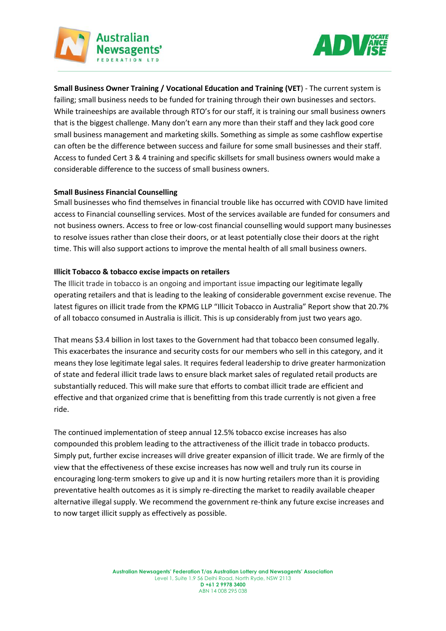



**Small Business Owner Training / Vocational Education and Training (VET**) - The current system is failing; small business needs to be funded for training through their own businesses and sectors. While traineeships are available through RTO's for our staff, it is training our small business owners that is the biggest challenge. Many don't earn any more than their staff and they lack good core small business management and marketing skills. Something as simple as some cashflow expertise can often be the difference between success and failure for some small businesses and their staff. Access to funded Cert 3 & 4 training and specific skillsets for small business owners would make a considerable difference to the success of small business owners.

### **Small Business Financial Counselling**

Small businesses who find themselves in financial trouble like has occurred with COVID have limited access to Financial counselling services. Most of the services available are funded for consumers and not business owners. Access to free or low-cost financial counselling would support many businesses to resolve issues rather than close their doors, or at least potentially close their doors at the right time. This will also support actions to improve the mental health of all small business owners.

#### **Illicit Tobacco & tobacco excise impacts on retailers**

The Illicit trade in tobacco is an ongoing and important issue impacting our legitimate legally operating retailers and that is leading to the leaking of considerable government excise revenue. The latest figures on illicit trade from the KPMG LLP "Illicit Tobacco in Australia" Report show that 20.7% of all tobacco consumed in Australia is illicit. This is up considerably from just two years ago.

That means \$3.4 billion in lost taxes to the Government had that tobacco been consumed legally. This exacerbates the insurance and security costs for our members who sell in this category, and it means they lose legitimate legal sales. It requires federal leadership to drive greater harmonization of state and federal illicit trade laws to ensure black market sales of regulated retail products are substantially reduced. This will make sure that efforts to combat illicit trade are efficient and effective and that organized crime that is benefitting from this trade currently is not given a free ride.

The continued implementation of steep annual 12.5% tobacco excise increases has also compounded this problem leading to the attractiveness of the illicit trade in tobacco products. Simply put, further excise increases will drive greater expansion of illicit trade. We are firmly of the view that the effectiveness of these excise increases has now well and truly run its course in encouraging long-term smokers to give up and it is now hurting retailers more than it is providing preventative health outcomes as it is simply re-directing the market to readily available cheaper alternative illegal supply. We recommend the government re-think any future excise increases and to now target illicit supply as effectively as possible.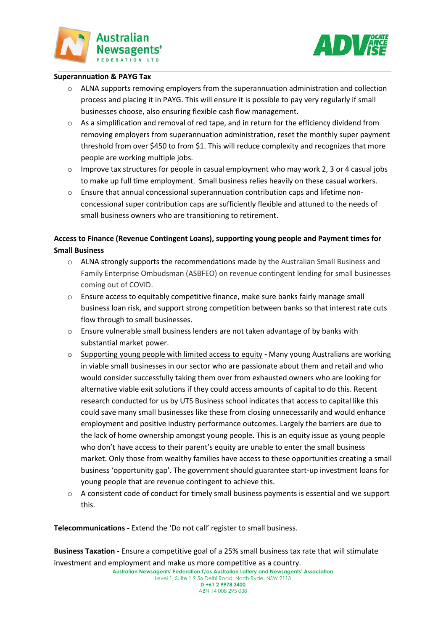



#### **Superannuation & PAYG Tax**

- $\circ$  ALNA supports removing employers from the superannuation administration and collection process and placing it in PAYG. This will ensure it is possible to pay very regularly if small businesses choose, also ensuring flexible cash flow management.
- $\circ$  As a simplification and removal of red tape, and in return for the efficiency dividend from removing employers from superannuation administration, reset the monthly super payment threshold from over \$450 to from \$1. This will reduce complexity and recognizes that more people are working multiple jobs.
- $\circ$  Improve tax structures for people in casual employment who may work 2, 3 or 4 casual jobs to make up full time employment. Small business relies heavily on these casual workers.
- o Ensure that annual concessional superannuation contribution caps and lifetime nonconcessional super contribution caps are sufficiently flexible and attuned to the needs of small business owners who are transitioning to retirement.

# **Access to Finance (Revenue Contingent Loans), supporting young people and Payment times for Small Business**

- o ALNA strongly supports the recommendations made by the Australian Small Business and Family Enterprise Ombudsman (ASBFEO) on revenue contingent lending for small businesses coming out of COVID.
- o Ensure access to equitably competitive finance, make sure banks fairly manage small business loan risk, and support strong competition between banks so that interest rate cuts flow through to small businesses.
- $\circ$  Ensure vulnerable small business lenders are not taken advantage of by banks with substantial market power.
- o Supporting young people with limited access to equity **-** Many young Australians are working in viable small businesses in our sector who are passionate about them and retail and who would consider successfully taking them over from exhausted owners who are looking for alternative viable exit solutions if they could access amounts of capital to do this. Recent research conducted for us by UTS Business school indicates that access to capital like this could save many small businesses like these from closing unnecessarily and would enhance employment and positive industry performance outcomes. Largely the barriers are due to the lack of home ownership amongst young people. This is an equity issue as young people who don't have access to their parent's equity are unable to enter the small business market. Only those from wealthy families have access to these opportunities creating a small business 'opportunity gap'. The government should guarantee start-up investment loans for young people that are revenue contingent to achieve this.
- $\circ$  A consistent code of conduct for timely small business payments is essential and we support this.

**Telecommunications -** Extend the 'Do not call' register to small business.

**Business Taxation -** Ensure a competitive goal of a 25% small business tax rate that will stimulate investment and employment and make us more competitive as a country.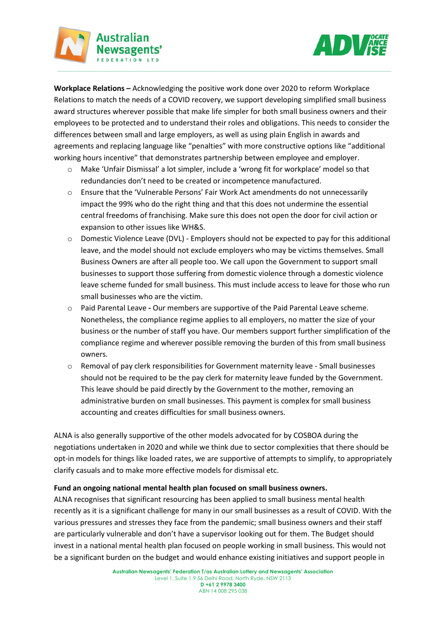

**Workplace Relations –** Acknowledging the positive work done over 2020 to reform Workplace Relations to match the needs of a COVID recovery, we support developing simplified small business award structures wherever possible that make life simpler for both small business owners and their employees to be protected and to understand their roles and obligations. This needs to consider the differences between small and large employers, as well as using plain English in awards and agreements and replacing language like "penalties" with more constructive options like "additional working hours incentive" that demonstrates partnership between employee and employer.

Australian Newsagents'

- o Make 'Unfair Dismissal' a lot simpler, include a 'wrong fit for workplace' model so that redundancies don't need to be created or incompetence manufactured.
- o Ensure that the 'Vulnerable Persons' Fair Work Act amendments do not unnecessarily impact the 99% who do the right thing and that this does not undermine the essential central freedoms of franchising. Make sure this does not open the door for civil action or expansion to other issues like WH&S.
- $\circ$  Domestic Violence Leave (DVL) Employers should not be expected to pay for this additional leave, and the model should not exclude employers who may be victims themselves. Small Business Owners are after all people too. We call upon the Government to support small businesses to support those suffering from domestic violence through a domestic violence leave scheme funded for small business. This must include access to leave for those who run small businesses who are the victim.
- o Paid Parental Leave **-** Our members are supportive of the Paid Parental Leave scheme. Nonetheless, the compliance regime applies to all employers, no matter the size of your business or the number of staff you have. Our members support further simplification of the compliance regime and wherever possible removing the burden of this from small business owners.
- $\circ$  Removal of pay clerk responsibilities for Government maternity leave Small businesses should not be required to be the pay clerk for maternity leave funded by the Government. This leave should be paid directly by the Government to the mother, removing an administrative burden on small businesses. This payment is complex for small business accounting and creates difficulties for small business owners.

ALNA is also generally supportive of the other models advocated for by COSBOA during the negotiations undertaken in 2020 and while we think due to sector complexities that there should be opt-in models for things like loaded rates, we are supportive of attempts to simplify, to appropriately clarify casuals and to make more effective models for dismissal etc.

### **Fund an ongoing national mental health plan focused on small business owners.**

ALNA recognises that significant resourcing has been applied to small business mental health recently as it is a significant challenge for many in our small businesses as a result of COVID. With the various pressures and stresses they face from the pandemic; small business owners and their staff are particularly vulnerable and don't have a supervisor looking out for them. The Budget should invest in a national mental health plan focused on people working in small business. This would not be a significant burden on the budget and would enhance existing initiatives and support people in